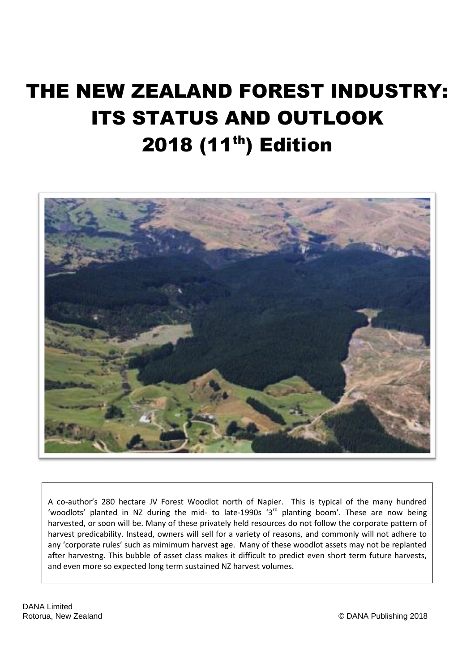# THE NEW ZEALAND FOREST INDUSTRY: ITS STATUS AND OUTLOOK 2018 (11<sup>th</sup>) Edition



A co-author's 280 hectare JV Forest Woodlot north of Napier. This is typical of the many hundred 'woodlots' planted in NZ during the mid- to late-1990s  $3<sup>rd</sup>$  planting boom'. These are now being harvested, or soon will be. Many of these privately held resources do not follow the corporate pattern of harvest predicability. Instead, owners will sell for a variety of reasons, and commonly will not adhere to any 'corporate rules' such as mimimum harvest age. Many of these woodlot assets may not be replanted after harvestng. This bubble of asset class makes it difficult to predict even short term future harvests, and even more so expected long term sustained NZ harvest volumes.

DANA Limited<br>Rotorua, New Zealand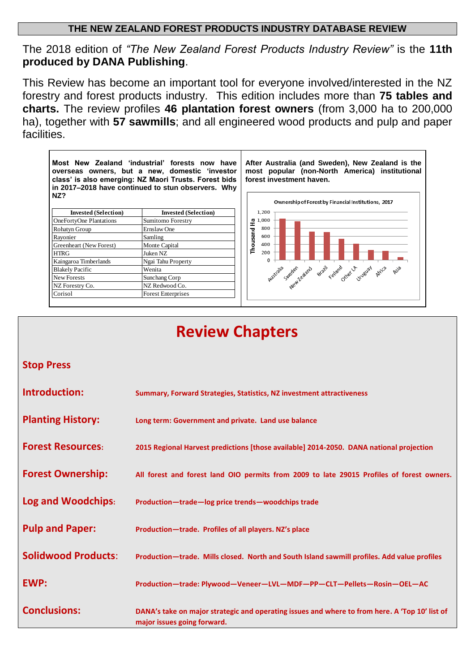### **THE NEW ZEALAND FOREST PRODUCTS INDUSTRY DATABASE REVIEW**

The 2018 edition of *"The New Zealand Forest Products Industry Review"* is the **11th produced by DANA Publishing**.

This Review has become an important tool for everyone involved/interested in the NZ forestry and forest products industry. This edition includes more than **75 tables and charts.** The review profiles **46 plantation forest owners** (from 3,000 ha to 200,000 ha), together with **57 sawmills**; and all engineered wood products and pulp and paper facilities.



# **Review Chapters**

### **Stop Press**

| Introduction:              | Summary, Forward Strategies, Statistics, NZ investment attractiveness                                                         |
|----------------------------|-------------------------------------------------------------------------------------------------------------------------------|
| <b>Planting History:</b>   | Long term: Government and private. Land use balance                                                                           |
| <b>Forest Resources:</b>   | 2015 Regional Harvest predictions [those available] 2014-2050. DANA national projection                                       |
| <b>Forest Ownership:</b>   | All forest and forest land OIO permits from 2009 to late 29015 Profiles of forest owners.                                     |
| Log and Woodchips:         | Production-trade-log price trends-woodchips trade                                                                             |
| <b>Pulp and Paper:</b>     | Production-trade. Profiles of all players. NZ's place                                                                         |
| <b>Solidwood Products:</b> | Production—trade. Mills closed. North and South Island sawmill profiles. Add value profiles                                   |
| <b>EWP:</b>                | Production-trade: Plywood-Veneer-LVL-MDF-PP-CLT-Pellets-Rosin-OEL-AC                                                          |
| <b>Conclusions:</b>        | DANA's take on major strategic and operating issues and where to from here. A 'Top 10' list of<br>major issues going forward. |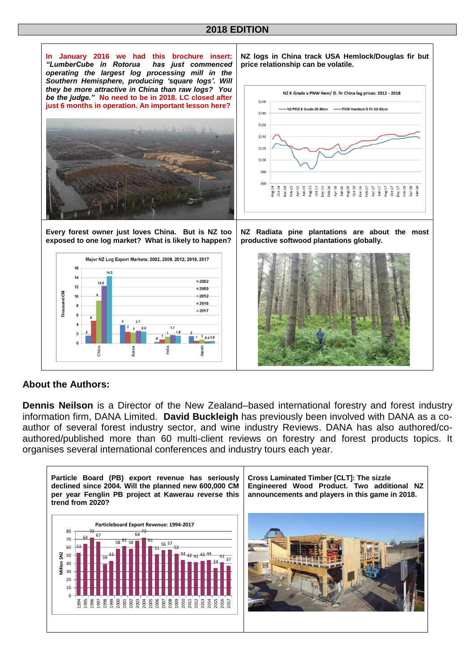### **2018 EDITION**



### **About the Authors:**

**Dennis Neilson** is a Director of the New Zealand–based international forestry and forest industry information firm, DANA Limited. **David Buckleigh** has previously been involved with DANA as a coauthor of several forest industry sector, and wine industry Reviews. DANA has also authored/coauthored/published more than 60 multi-client reviews on forestry and forest products topics. It organises several international conferences and industry tours each year.